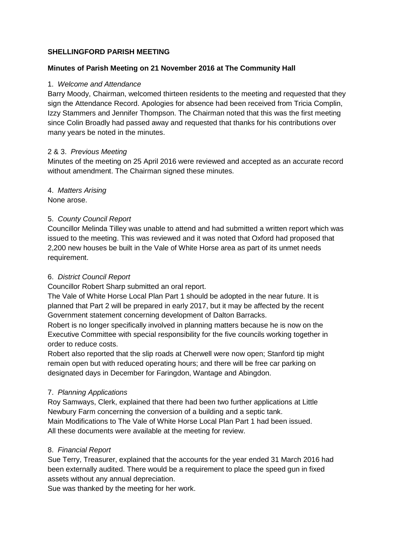## **SHELLINGFORD PARISH MEETING**

## **Minutes of Parish Meeting on 21 November 2016 at The Community Hall**

### 1. *Welcome and Attendance*

Barry Moody, Chairman, welcomed thirteen residents to the meeting and requested that they sign the Attendance Record. Apologies for absence had been received from Tricia Complin, Izzy Stammers and Jennifer Thompson. The Chairman noted that this was the first meeting since Colin Broadly had passed away and requested that thanks for his contributions over many years be noted in the minutes.

### 2 & 3. *Previous Meeting*

Minutes of the meeting on 25 April 2016 were reviewed and accepted as an accurate record without amendment. The Chairman signed these minutes.

## 4. *Matters Arising*

None arose.

## 5. *County Council Report*

Councillor Melinda Tilley was unable to attend and had submitted a written report which was issued to the meeting. This was reviewed and it was noted that Oxford had proposed that 2,200 new houses be built in the Vale of White Horse area as part of its unmet needs requirement.

## 6. *District Council Report*

Councillor Robert Sharp submitted an oral report.

The Vale of White Horse Local Plan Part 1 should be adopted in the near future. It is planned that Part 2 will be prepared in early 2017, but it may be affected by the recent Government statement concerning development of Dalton Barracks.

Robert is no longer specifically involved in planning matters because he is now on the Executive Committee with special responsibility for the five councils working together in order to reduce costs.

Robert also reported that the slip roads at Cherwell were now open; Stanford tip might remain open but with reduced operating hours; and there will be free car parking on designated days in December for Faringdon, Wantage and Abingdon.

### 7. *Planning Applications*

Roy Samways, Clerk, explained that there had been two further applications at Little Newbury Farm concerning the conversion of a building and a septic tank. Main Modifications to The Vale of White Horse Local Plan Part 1 had been issued. All these documents were available at the meeting for review.

# 8. *Financial Report*

Sue Terry, Treasurer, explained that the accounts for the year ended 31 March 2016 had been externally audited. There would be a requirement to place the speed gun in fixed assets without any annual depreciation.

Sue was thanked by the meeting for her work.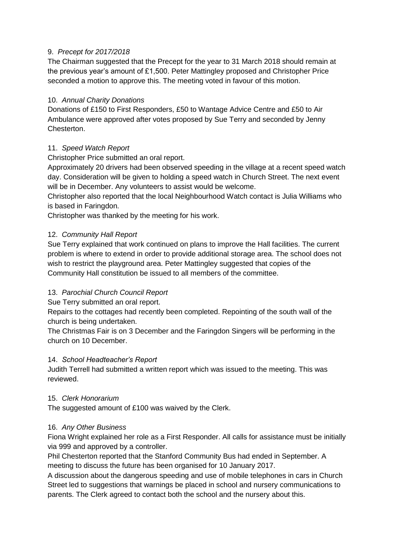## 9. *Precept for 2017/2018*

The Chairman suggested that the Precept for the year to 31 March 2018 should remain at the previous year's amount of £1,500. Peter Mattingley proposed and Christopher Price seconded a motion to approve this. The meeting voted in favour of this motion.

## 10. *Annual Charity Donations*

Donations of £150 to First Responders, £50 to Wantage Advice Centre and £50 to Air Ambulance were approved after votes proposed by Sue Terry and seconded by Jenny Chesterton.

## 11. *Speed Watch Report*

Christopher Price submitted an oral report.

Approximately 20 drivers had been observed speeding in the village at a recent speed watch day. Consideration will be given to holding a speed watch in Church Street. The next event will be in December. Any volunteers to assist would be welcome.

Christopher also reported that the local Neighbourhood Watch contact is Julia Williams who is based in Faringdon.

Christopher was thanked by the meeting for his work.

## 12. *Community Hall Report*

Sue Terry explained that work continued on plans to improve the Hall facilities. The current problem is where to extend in order to provide additional storage area. The school does not wish to restrict the playground area. Peter Mattingley suggested that copies of the Community Hall constitution be issued to all members of the committee.

# 13. *Parochial Church Council Report*

Sue Terry submitted an oral report.

Repairs to the cottages had recently been completed. Repointing of the south wall of the church is being undertaken.

The Christmas Fair is on 3 December and the Faringdon Singers will be performing in the church on 10 December.

### 14. *School Headteacher's Report*

Judith Terrell had submitted a written report which was issued to the meeting. This was reviewed.

### 15. *Clerk Honorarium*

The suggested amount of £100 was waived by the Clerk.

### 16. *Any Other Business*

Fiona Wright explained her role as a First Responder. All calls for assistance must be initially via 999 and approved by a controller.

Phil Chesterton reported that the Stanford Community Bus had ended in September. A meeting to discuss the future has been organised for 10 January 2017.

A discussion about the dangerous speeding and use of mobile telephones in cars in Church Street led to suggestions that warnings be placed in school and nursery communications to parents. The Clerk agreed to contact both the school and the nursery about this.